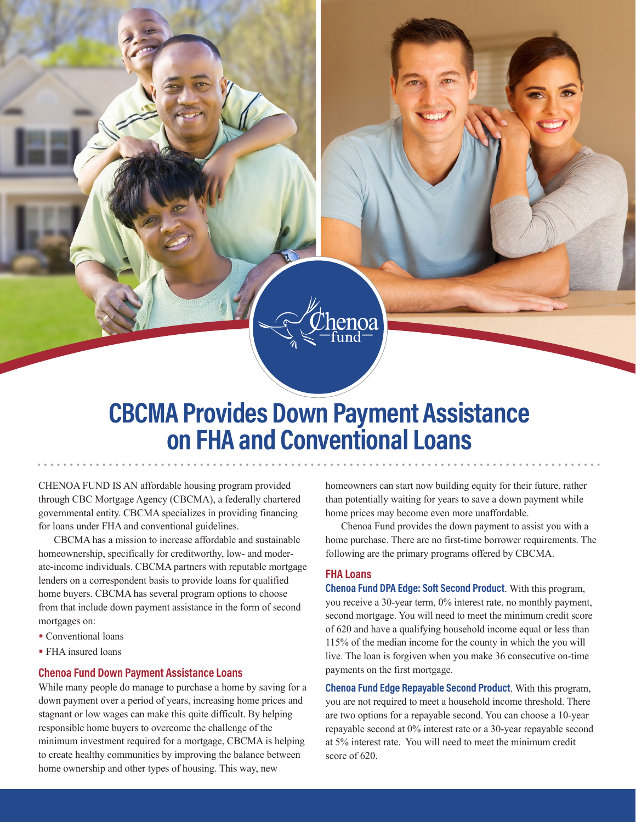

CHENOA FUND IS AN affordable housing program provided through CBC Mortgage Agency (CBCMA), a federally chartered governmental entity. CBCMA specializes in providing financing for loans under FHA and conventional guidelines.

CBCMA has a mission to increase affordable and sustainable homeownership, specifically for creditworthy, low- and moderate-income individuals. CBCMA partners with reputable mortgage lenders on a correspondent basis to provide loans for qualified home buyers. CBCMA has several program options to choose from that include down payment assistance in the form of second mortgages on:

- Conventional loans
- FHA insured loans

## **Chenoa Fund Down Payment Assistance Loans**

While many people do manage to purchase a home by saving for a down payment over a period of years, increasing home prices and stagnant or low wages can make this quite difficult. By helping responsible home buyers to overcome the challenge of the minimum investment required for a mortgage, CBCMA is helping to create healthy communities by improving the balance between home ownership and other types of housing. This way, new

homeowners can start now building equity for their future, rather than potentially waiting for years to save a down payment while home prices may become even more unaffordable.

Chenoa Fund provides the down payment to assist you with a home purchase. There are no first-time borrower requirements. The following are the primary programs offered by CBCMA.

## **FHA Loans**

**Chenoa Fund DPA Edge: Soft Second Product**. With this program, you receive a 30-year term, 0% interest rate, no monthly payment, second mortgage. You will need to meet the minimum credit score of 620 and have a qualifying household income equal or less than 115% of the median income for the county in which the you will live. The loan is forgiven when you make 36 consecutive on-time payments on the first mortgage.

**Chenoa Fund Edge Repayable Second Product**. With this program, you are not required to meet a household income threshold. There are two options for a repayable second. You can choose a 10-year repayable second at 0% interest rate or a 30-year repayable second at 5% interest rate. You will need to meet the minimum credit score of 620.